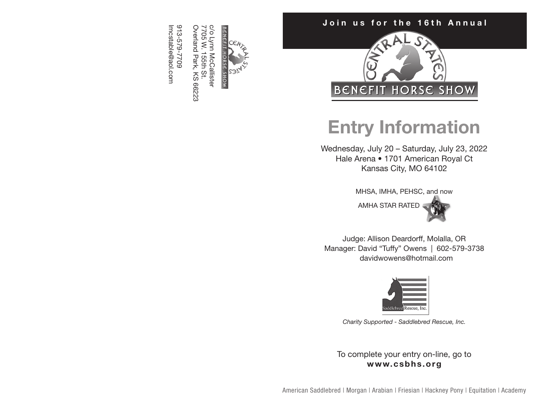

Overland Park, KS 66223 Overland Park, KS 66223 7705 W. 155th St. 7705 W. 155th St.

Imcstable@aol.com 913-579-7709 lmcstable@aol.com 913-579-7709

# Join us for the 16th Annual



# Entry Information

Wednesday, July 20 – Saturday, July 23, 2022 Hale Arena • 1701 American Royal Ct Kansas City, MO 64102

MHSA, IMHA, PEHSC, and now

AMHA STAR RATED



Judge: Allison Deardorff, Molalla, OR Manager: David "Tuffy" Owens | 602-579-3738 davidwowens@hotmail.com



*Charity Supported - Saddlebred Rescue, Inc.*

To complete your entry on-line, go to www.csbhs.org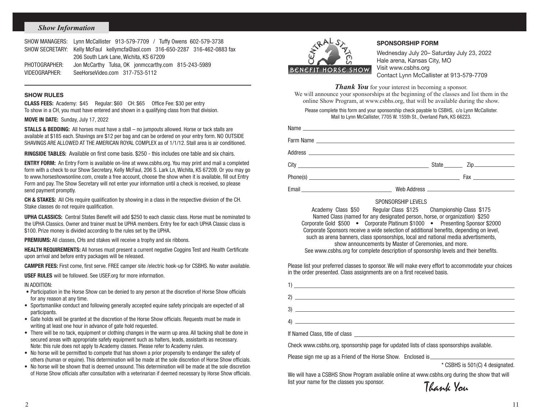#### *Show Information*

|               | SHOW MANAGERS: Lynn McCallister 913-579-7709 / Tuffy Owens 602-579-3738      |
|---------------|------------------------------------------------------------------------------|
|               | SHOW SECRETARY: Kelly McFaul kellymcfa@aol.com 316-650-2287 316-462-0883 fax |
|               | 206 South Lark Lane, Wichita, KS 67209                                       |
| PHOTOGRAPHER: | Jon McCarthy Tulsa, OK jonmccarthy.com 815-243-5989                          |
| VIDEOGRAPHER: | SeeHorseVideo.com 317-753-5112                                               |

#### SHOW RULES

CLASS FEES: Academy: \$45 Regular: \$60 CH: \$65 Office Fee: \$30 per entry To show in a CH, you must have entered and shown in a qualifying class from that division.

MOVE IN DATE: Sunday, July 17, 2022

STALLS & BEDDING: All horses must have a stall – no jumpouts allowed. Horse or tack stalls are available at \$185 each. Shavings are \$12 per bag and can be ordered on your entry form. NO OUTSIDE SHAVINGS ARE ALLOWED AT THE AMERICAN ROYAL COMPLEX as of 1/1/12. Stall area is air conditioned.

RINGSIDE TABLES: Available on first come basis. \$250 - this includes one table and six chairs.

ENTRY FORM: An Entry Form is available on-line at www.csbhs.org. You may print and mail a completed form with a check to our Show Secretary, Kelly McFaul, 206 S. Lark Ln, Wichita, KS 67209. Or you may go to www.horseshowsonline.com, create a free account, choose the show when it is available, fill out Entry Form and pay. The Show Secretary will not enter your information until a check is received, so please send payment promptly.

CH & STAKES: All CHs require qualification by showing in a class in the respective division of the CH. Stake classes do not require qualification.

UPHA CLASSICS: Central States Benefit will add \$250 to each classic class. Horse must be nominated to the UPHA Classics. Owner and trainer must be UPHA members. Entry fee for each UPHA Classic class is \$100. Prize money is divided according to the rules set by the UPHA.

**PREMIUMS:** All classes, CHs and stakes will receive a trophy and six ribbons.

**HEALTH REQUIREMENTS:** All horses must present a current negative Coggins Test and Health Certificate upon arrival and before entry packages will be released.

CAMPER FEES: First come, first serve. FREE camper site /electric hook-up for CSBHS. No water available.

USEF RULES will be followed. See USEF.org for more information.

#### IN ADDITION:

- Participation in the Horse Show can be denied to any person at the discretion of Horse Show officials for any reason at any time.
- Sportsmanlike conduct and following generally accepted equine safety principals are expected of all participants.
- Gate holds will be granted at the discretion of the Horse Show officials. Requests must be made in writing at least one hour in advance of gate hold requested.
- There will be no tack, equipment or clothing changes in the warm up area. All tacking shall be done in secured areas with appropriate safety equipment such as halters, leads, assistants as necessary. Note: this rule does not apply to Academy classes. Please refer to Academy rules.
- No horse will be permitted to compete that has shown a prior propensity to endanger the safety of others (human or equine). This determination will be made at the sole discretion of Horse Show officials.
- No horse will be shown that is deemed unsound. This determination will be made at the sole discretion of Horse Show officials after consultation with a veterinarian if deemed necessary by Horse Show officials.



#### SPONSORSHIP FORM

Wednesday July 20– Saturday July 23, 2022 Hale arena, Kansas City, MO Visit www.csbhs.org Contact Lynn McCallister at 913-579-7709

*Thank You* for your interest in becoming a sponsor.

We will announce your sponsorships at the beginning of the classes and list them in the online Show Program, at www.csbhs.org, that will be available during the show.

Please complete this form and your sponsorship check payable to CSBHS, c/o Lynn McCallister. Mail to Lynn McCallister, 7705 W. 155th St., Overland Park, KS 66223.

|                                                                                                                                                                                                                                      | State <u>Zip</u>                                                                                                                                                                                                                                                                                                                                                          |
|--------------------------------------------------------------------------------------------------------------------------------------------------------------------------------------------------------------------------------------|---------------------------------------------------------------------------------------------------------------------------------------------------------------------------------------------------------------------------------------------------------------------------------------------------------------------------------------------------------------------------|
|                                                                                                                                                                                                                                      | $Phone(s)$ $\qquad \qquad \qquad$ $\qquad \qquad$ $\qquad \qquad$ $\qquad \qquad$ $\qquad \qquad$ $\qquad \qquad$ $\qquad \qquad$ $\qquad \qquad$ $\qquad$ $\qquad \qquad$ $\qquad$ $\qquad \qquad$ $\qquad$ $\qquad$ $\qquad$ $\qquad$ $\qquad$ $\qquad$ $\qquad$ $\qquad$ $\qquad$ $\qquad$ $\qquad$ $\qquad$ $\qquad$ $\qquad$ $\qquad$ $\qquad$ $\qquad$ $\qquad$ $\$ |
| Email <b>Exploration Contract Contract Contract Contract Contract Contract Contract Contract Contract Contract Contract Contract Contract Contract Contract Contract Contract Contract Contract Contract Contract Contract Contr</b> |                                                                                                                                                                                                                                                                                                                                                                           |
|                                                                                                                                                                                                                                      |                                                                                                                                                                                                                                                                                                                                                                           |

#### SPONSORSHIP LEVELS

Academy Class \$50 Regular Class \$125 Championship Class \$175 Named Class (named for any designated person, horse, or organization) \$250 Corporate Gold \$500 • Corporate Platinum \$1000 • Presenting Sponsor \$2000 Corporate Sponsors receive a wide selection of additional benefits, depending on level, such as arena banners, class sponsorships, local and national media advertisments, show announcements by Master of Ceremonies, and more. See www.csbhs.org for complete description of sponsorship levels and their benefits.

Please list your preferred classes to sponsor. We will make every effort to accommodate your choices in the order presented. Class assignments are on a first received basis.

| $\frac{1}{2}$                                                                                                                                                                                                                                                                                                                                                                        |  |  |
|--------------------------------------------------------------------------------------------------------------------------------------------------------------------------------------------------------------------------------------------------------------------------------------------------------------------------------------------------------------------------------------|--|--|
|                                                                                                                                                                                                                                                                                                                                                                                      |  |  |
|                                                                                                                                                                                                                                                                                                                                                                                      |  |  |
| $\overline{a}$ $\overline{a}$ $\overline{a}$ $\overline{a}$ $\overline{a}$ $\overline{a}$ $\overline{a}$ $\overline{a}$ $\overline{a}$ $\overline{a}$ $\overline{a}$ $\overline{a}$ $\overline{a}$ $\overline{a}$ $\overline{a}$ $\overline{a}$ $\overline{a}$ $\overline{a}$ $\overline{a}$ $\overline{a}$ $\overline{a}$ $\overline{a}$ $\overline{a}$ $\overline{a}$ $\overline{$ |  |  |
|                                                                                                                                                                                                                                                                                                                                                                                      |  |  |
| Check www.csbhs.org, sponsorship page for updated lists of class sponsorships available.                                                                                                                                                                                                                                                                                             |  |  |
|                                                                                                                                                                                                                                                                                                                                                                                      |  |  |

\* CSBHS is 501(C) 4 designated.

We will have a CSBHS Show Program available online at www.csbhs.org during the show that will list your name for the classes you sponsor.<br> $T_{\ell}$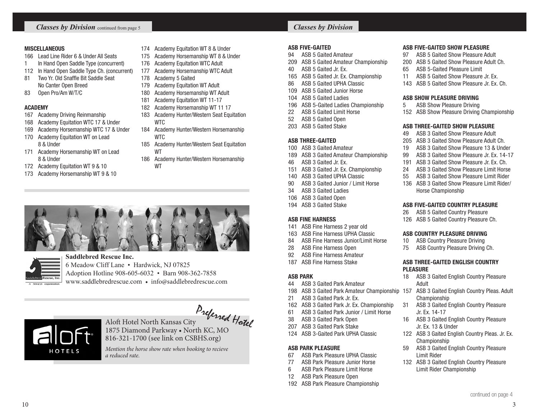#### MISCELLANEOUS

- Lead Line Rider 6 & Under All Seats
- 1 In Hand Open Saddle Type (concurrent)
- In Hand Open Saddle Type Ch. (concurrent)
- Two Yr. Old Snaffle Bit Saddle Seat No Canter Open Breed
- Open Pro/Am W/T/C

# ACADEMY

- Academy Driving Reinmanship
- Academy Equitation WTC 17 & Under
- Academy Horsemanship WTC 17 & Under
- Academy Equitation WT on Lead 8 & Under
- Academy Horsemanship WT on Lead 8 & Under
- Academy Equitation WT 9 & 10
- Academy Horsemanship WT 9 & 10
- Academy Equitation WT 8 & Under
- Academy Horsemanship WT 8 & Under
- Academy Equitation WTC Adult
- Academy Horsemanship WTC Adult
- Academy 5 Gaited
- 179 Academy Equitation WT Adult
- Academy Horsemanship WT Adult
- Academy Equitation WT 11-17
- Academy Horsemanship WT 11 17
- 183 Academy Hunter/Western Seat Equitation **WTC**
- Academy Hunter/Western Horsemanship **WTC**
- Academy Hunter/Western Seat Equitation WT
- Academy Hunter/Western Horsemanship WT





HOTELS

#### **Saddlebred Rescue Inc.** 6 Meadow Cliff Lane • Hardwick, NJ 07825 Adoption Hotline 908-605-6032 • Barn 908-362-7858 www.saddlebredrescue.com • info@saddlebredrescue.com

# Aloft Hotel North Kansas City 1875 Diamond Parkway • North KC, MO Preferred Hotel

816-321-1700 (see link on CSBHS.org)

*Mention the horse show rate when booking to recieve a reduced rate.*

# *Classes by Division*

#### ASB FIVE-GAITED

- ASB 5 Gaited Amateur
- ASB 5 Gaited Amateur Championship
- ASB 5 Gaited Jr. Ex.
- ASB 5 Gaited Jr. Ex. Championship
- ASB 5 Gaited UPHA Classic
- ASB 5 Gaited Junior Horse
- ASB 5 Gaited Ladies
- ASB 5-Gaited Ladies Championship
- ASB 5 Gaited Limit Horse
- ASB 5 Gaited Open
- ASB 5 Gaited Stake

### ASB THREE-GAITED

- ASB 3 Gaited Amateur
- ASB 3 Gaited Amateur Championship
- ASB 3 Gaited Jr. Ex.
- ASB 3 Gaited Jr. Ex. Championship
- ASB 3 Gaited UPHA Classic
- ASB 3 Gaited Junior / Limit Horse
- ASB 3 Gaited Ladies
- ASB 3 Gaited Open
- ASB 3 Gaited Stake

#### ASB FINE HARNESS

- ASB Fine Harness 2 year old
- ASB Fine Harness UPHA Classic
- ASB Fine Harness Junior/Limit Horse
- ASB Fine Harness Open
- ASB Fine Harness Amateur
- ASB Fine Harness Stake

#### ASB PARK

- ASB 3 Gaited Park Amateur
- ASB 3 Gaited Park Amateur Championship 157 ASB 3 Gaited English Country Pleas. Adult
- ASB 3 Gaited Park Jr. Ex.
- ASB 3 Gaited Park Jr. Ex. Championship
- ASB 3 Gaited Park Junior / Limit Horse
- ASB 3 Gaited Park Open
- ASB 3 Gaited Park Stake
- ASB 3-Gaited Park UPHA Classic

## ASB PARK PLEASURE

 $10 \hspace{1.5cm}$  3

- ASB Park Pleasure UPHA Classic
- ASB Park Pleasure Junior Horse
- ASB Park Pleasure Limit Horse
- ASB Park Pleasure Open
- ASB Park Pleasure Championship

#### ASB FIVE-GAITED SHOW PLEASURE

- ASB 5 Gaited Show Pleasure Adult
- ASB 5 Gaited Show Pleasure Adult Ch.
- ASB 5-Gaited Pleasure Limit
- 11 ASB 5 Gaited Show Pleasure Jr. Ex.
- ASB 5 Gaited Show Pleasure Jr. Ex. Ch.

#### ASB SHOW PLEASURE DRIVING

- ASB Show Pleasure Driving
- ASB Show Pleasure Driving Championship

#### ASB THREE-GAITED SHOW PLEASURE

- ASB 3 Gaited Show Pleasure Adult
- ASB 3 Gaited Show Pleasure Adult Ch.
- ASB 3 Gaited Show Pleasure 13 & Under
- ASB 3 Gaited Show Pleasure Jr. Ex. 14-17
- ASB 3 Gaited Show Pleasure Jr. Ex. Ch.
- ASB 3 Gaited Show Pleasure Limit Horse
- ASB 3 Gaited Show Pleasure Limit Rider
- ASB 3 Gaited Show Pleasure Limit Rider/ Horse Championship

#### ASB FIVE-GAITED COUNTRY PLEASURE

ASB 5 Gaited Country Pleasure

ASB COUNTRY PLEASURE DRIVING ASB Country Pleasure Driving ASB Country Pleasure Driving Ch.

PLEASURE

Adult

Championship

Jr. Ex. 14-17

Jr. Ex. 13 & Under

Championship

Limit Rider

ASB 5 Gaited Country Pleasure Ch.

ASB THREE-GAITED ENGLISH COUNTRY

ASB 3 Gaited English Country Pleasure

ASB 3 Gaited English Country Pleasure

ASB 3 Gaited English Country Pleasure

ASB 3 Gaited English Country Pleasure

 ASB 3 Gaited English Country Pleasure Limit Rider Championship

continued on page 4

ASB 3 Gaited English Country Pleas. Jr. Ex.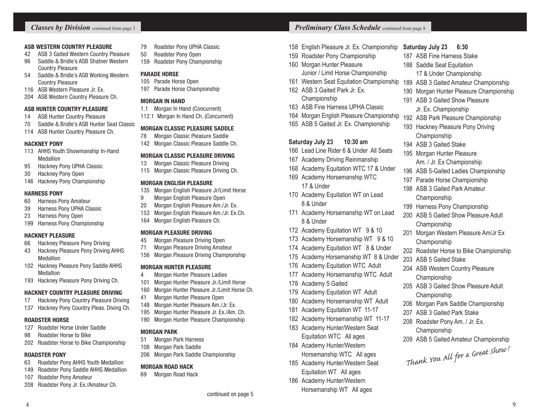#### ASB WESTERN COUNTRY PLEASURE

- 42 ASB 3 Gaited Western Country Pleasure
- 96 Saddle & Bridle's ASB Shatner Western Country Pleasure
- 54 Saddle & Bridle's ASB Working Western Country Pleasure
- 116 ASB Western Pleasure Jr. Ex.
- 204 ASB Western Country Pleasure Ch.

#### ASB HUNTER COUNTRY PLEASURE

- 14 ASB Hunter Country Pleasure
- 70 Saddle & Bridle's ASB Hunter Seat Classic
- 114 ASB Hunter Country Pleasure Ch.

#### HACKNEY PONY

- 113 AHHS Youth Showmanship In-Hand Medallion
- 95 Hackney Pony UPHA Classic
- 30 Hackney Pony Open
- 146 Hackney Pony Championship

#### HARNESS PONY

- 60 Harness Pony Amateur
- 39 Harness Pony UPHA Classic
- 23 Harness Pony Open
- 199 Harness Pony Championship

#### HACKNEY PLEASURE

- 66 Hackney Pleasure Pony Driving
- 43 Hackney Pleasure Pony Driving AHHS Medallion
- 102 Hackney Pleasure Pony Saddle AHHS Medallion
- 193 Hackney Pleasure Pony Driving Ch.

#### HACKNEY COUNTRY PLEASURE DRIVING

- 17 Hackney Pony Country Pleasure Driving
- 137 Hackney Pony Country Pleas. Diving Ch.

#### ROADSTER HORSE

- 127 Roadster Horse Under Saddle
- 98 Roadster Horse to Bike
- 202 Roadster Horse to Bike Championship

#### ROADSTER PONY

- 63 Roadster Pony AHHS Youth Medallion
- 149 Roadster Pony Saddle AHHS Medallion
- 107 Roadster Pony Amateur
- 208 Roadster Pony Jr. Ex./Amateur Ch.
- 79 Roadster Pony UPHA Classic
- 50 Roadster Pony Open
- 159 Roadster Pony Championship

#### PARADE HORSE

- 105 Parade Horse Open
- 197 Parade Horse Championship

#### MORGAN IN HAND

- 1.1 Morgan In Hand (Concurrent)
- 112.1 Morgan In Hand Ch. (Concurrent)

#### MORGAN CLASSIC PLEASURE SADDLE

- 78 Morgan Classic Pleasure Saddle 142 Morgan Classic Pleasure Saddle Ch.
- 

#### MORGAN CLASSIC PLEASURE DRIVING

- 13 Morgan Classic Pleasure Driving
- 115 Morgan Classic Pleasure Driving Ch.

#### MORGAN ENGLISH PLEASURE

- 135 Morgan English Pleasure Jr/Limit Horse
- 9 Morgan English Pleasure Open
- 20 Morgan English Pleasure Am./Jr. Ex.
- 153 Morgan English Pleasure Am./Jr. Ex.Ch.
- 164 Morgan English Pleasure Ch.

#### MORGAN PLEASURE DRIVING

- 45 Morgan Pleasure Driving Open
- 71 Morgan Pleasure Driving Amateur
- 156 Morgan Pleasure Driving Championship

#### MORGAN HUNTER PLEASURE

- 4 Morgan Hunter Pleasure Ladies
- 101 Morgan Hunter Pleasure Jr./Limit Horse
- 160 Morgan Hunter Pleasure Jr./Limit Horse Ch.
- 41 Morgan Hunter Pleasure Open
- 148 Morgan Hunter Pleasure Am./Jr. Ex.
- 195 Morgan Hunter Pleasure Jr. Ex./Am. Ch.
- 190 Morgan Hunter Pleasure Championship

#### MORGAN PARK

- 51 Morgan Park Harness
- 108 Morgan Park Saddle
- 206 Morgan Park Saddle Championship

#### MORGAN ROAD HACK

69 Morgan Road Hack

4 9

# **Classes by Division** continued from page 3 **Preliminary Class Schedule** continued from page 8

158 English Pleasure Jr. Ex. Championship **Saturday July 23 6:30**

> 187 ASB Fine Harness Stake 188 Saddle Seat Equitation

17 & Under Championship 189 ASB 3 Gaited Amateur Championship 190 Morgan Hunter Pleasure Championship

191 ASB 3 Gaited Show Pleasure Jr. Ex. Championship 192 ASB Park Pleasure Championship 193 Hackney Pleasure Pony Driving

Championship 194 ASB 3 Gaited Stake 195 Morgan Hunter Pleasure Am. / Jr. Ex Championship 196 ASB 5-Gaited Ladies Championship 197 Parade Horse Championship 198 ASB 3 Gaited Park Amateur

Championship

Championship

Championship

203 ASB 5 Gaited Stake

Championship

Championship

207 ASB 3 Gaited Park Stake 208 Roadster Pony Am. / Jr. Ex. Championship

199 Harness Pony Championship 200 ASB 5 Gaited Show Pleasure Adult

201 Morgan Western Pleasure Am/Jr Ex

204 ASB Western Country Pleasure

205 ASB 3 Gaited Show Pleasure Adult

206 Morgan Park Saddle Championship

209 ASB 5 Gaited Amateur Championship

*Thank You All for a Great Show !*

202 Roadster Horse to Bike Championship

- 159 Roadster Pony Championship
- 160 Morgan Hunter Pleasure
- Junior / Limit Horse Championship 161 Western Seat Equitation Championship
- 162 ASB 3 Gaited Park Jr. Ex. Championship
- 163 ASB Fine Harness UPHA Classic
- 164 Morgan English Pleasure Championship
- 165 ASB 5 Gaited Jr. Ex. Championship

#### **Saturday July 23 10:30 am**

- 166 Lead Line Rider 6 & Under All Seats
- 167 Academy Driving Reinmanship
- 168 Academy Equitation WTC 17 & Under
- 169 Academy Horsemanship WTC 17 & Under
- 170 Academy Equitation WT on Lead 8 & Under
- 171 Academy Horsemanship WT on Lead 8 & Under
- 172 Academy Equitation WT 9 & 10
- 173 Academy Horsemanship WT 9 & 10
- 174 Academy Equitation WT 8 & Under
- 175 Academy Horsemanship WT 8 & Under
- 176 Academy Equitation WTC Adult

179 Academy Equitation WT Adult 180 Academy Horsemanship WT Adult 181 Academy Equitation WT 11-17 182 Academy Horsemanship WT 11-17 183 Academy Hunter/Western Seat Equitation WTC All ages 184 Academy Hunter/Western

178 Academy 5 Gaited

177 Academy Horsemanship WTC Adult

Horsemanship WTC All ages 185 Academy Hunter/Western Seat Equitation WT All ages 186 Academy Hunter/Western Horsemanship WT All ages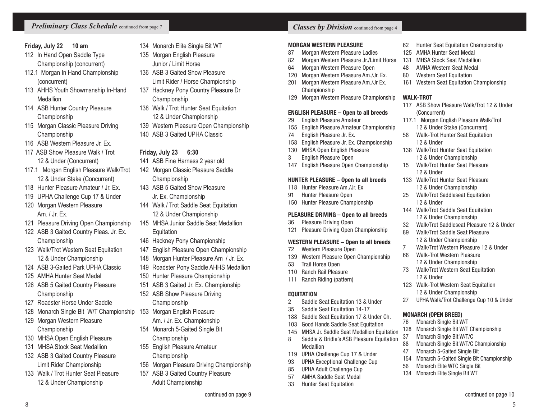# **Friday, July 22 10 am**

- 112 In Hand Open Saddle Type Championship (concurrent)
- 112.1 Morgan In Hand Championship (concurrent)
- 113 AHHS Youth Showmanship In-Hand Medallion
- 114 ASB Hunter Country Pleasure Championship
- 115 Morgan Classic Pleasure Driving Championship
- 116 ASB Western Pleasure Jr. Ex.
- 117 ASB Show Pleasure Walk / Trot 12 & Under (Concurrent)
- 117.1 Morgan English Pleasure Walk/Trot 12 & Under Stake (Concurrent)
- 118 Hunter Pleasure Amateur / Jr. Ex.
- 119 UPHA Challenge Cup 17 & Under
- 120 Morgan Western Pleasure Am. / Jr. Ex.
- 121 Pleasure Driving Open Championship
- 122 ASB 3 Gaited Country Pleas. Jr. Ex. Championship
- 123 Walk/Trot Western Seat Equitation 12 & Under Championship
- 124 ASB 3-Gaited Park UPHA Classic
- 125 AMHA Hunter Seat Medal
- 126 ASB 5 Gaited Country Pleasure **Championship**
- 127 Roadster Horse Under Saddle
- 128 Monarch Single Bit W/T Championship
- 129 Morgan Western Pleasure Championship
- 130 MHSA Open English Pleasure
- 131 MHSA Stock Seat Medallion
- 132 ASB 3 Gaited Country Pleasure Limit Rider Championship
- 133 Walk / Trot Hunter Seat Pleasure 12 & Under Championship
- 134 Monarch Elite Single Bit WT
- 135 Morgan English Pleasure Junior / Limit Horse
- 136 ASB 3 Gaited Show Pleasure Limit Rider / Horse Championship
- 137 Hackney Pony Country Pleasure Dr Championship
- 138 Walk / Trot Hunter Seat Equitation 12 & Under Championship
- 139 Western Pleasure Open Championship
- 140 ASB 3 Gaited UPHA Classic

# **Friday, July 23 6:30**

- 141 ASB Fine Harness 2 year old
- 142 Morgan Classic Pleasure Saddle Championship
- 143 ASB 5 Gaited Show Pleasure Jr. Ex. Championship
- 144 Walk / Trot Saddle Seat Equitation 12 & Under Championship
- 145 MHSA Junior Saddle Seat Medallion **Equitation**
- 146 Hackney Pony Championship
- 147 English Pleasure Open Championship
- 148 Morgan Hunter Pleasure Am / Jr. Ex.
- 149 Roadster Pony Saddle AHHS Medallion
- 150 Hunter Pleasure Championship
- 151 ASB 3 Gaited Jr. Ex. Championship
- 152 ASB Show Pleasure Driving Championship
- 153 Morgan English Pleasure Am. / Jr. Ex. Championship
- 154 Monarch 5-Gaited Single Bit
- Championship
- 155 English Pleasure Amateur Championship
- 156 Morgan Pleasure Driving Championship
- 157 ASB 3 Gaited Country Pleasure Adult Championship

8 a set of the set of the set of the set of the set of the set of the set of the set of the set of the set of the set of the set of the set of the set of the set of the set of the set of the set of the set of the set of th

# MORGAN WESTERN PLEASURE

- 87 Morgan Western Pleasure Ladies
- 82 Morgan Western Pleasure Jr./Limit Horse
- 64 Morgan Western Pleasure Open
- 120 Morgan Western Pleasure Am./Jr. Ex. 201 Morgan Western Pleasure Am./Jr Ex.
- Championship
- 129 Morgan Western Pleasure Championship

# ENGLISH PLEASURE – Open to all breeds

- 29 English Pleasure Amateur
- 155 English Pleasure Amateur Championship
- 74 English Pleasure Jr. Ex.
- 158 English Pleasure Jr. Ex. Champsionship
- 130 MHSA Open English Pleasure
- 3 English Pleasure Open
- 147 English Pleasure Open Championship

# HUNTER PLEASURE – Open to all breeds

- 118 Hunter Pleasure Am./Jr. Ex 91 Hunter Pleasure Open
- 150 Hunter Pleasure Championship

#### PLEASURE DRIVING – Open to all breeds

- 36 Pleasure Driving Open
- 121 Pleasure Driving Open Championship

#### WESTERN PLEASURE – Open to all breeds

- 72 Western Pleasure Open
- 139 Western Pleasure Open Championship
- 53 Trail Horse Open
- 110 Ranch Rail Pleasure
- 111 Ranch Riding (pattern)

# **EQUITATION**

- 2 Saddle Seat Equitation 13 & Under
- 35 Saddle Seat Equitation 14-17
- 188 Saddle Seat Equitation 17 & Under Ch.
- 103 Good Hands Saddle Seat Equitation
- 145 MHSA Jr. Saddle Seat Medallion Equitation
- 8 Saddle & Bridle's ASB Pleasure Equitation Medallion
- 119 UPHA Challenge Cup 17 & Under
- 93 UPHA Exceptional Challenge Cup
- 85 UPHA Adult Challenge Cup
- 57 AMHA Saddle Seat Medal
- 33 Hunter Seat Equitation
- 125 AMHA Hunter Seat Medal
- 131 MHSA Stock Seat Medallion
- 48 AMHA Western Seat Medal
- 80 Western Seat Equitation

(Concurrent)

12 & Under

12 & Under

12 & Under

12 & Under

MONARCH (OPEN BREED) 76 Monarch Single Bit W/T

37 Monarch Single Bit W/T/C

47 Monarch 5-Gaited Single Bit

56 Monarch Elite WTC Single Bit 134 Monarch Elite Single Bit WT

161 Western Seat Equitation Championship

117.1 Morgan English Pleasure Walk/Trot 12 & Under Stake (Concurrent) 58 Walk-Trot Hunter Seat Equitation

138 Walk/Trot Hunter Seat Equitation 12 & Under Championship 15 Walk/Trot Hunter Seat Pleasure

133 Walk/Trot Hunter Seat Pleasure 12 & Under Championship 25 Walk/Trot Saddleseat Equitation

144 Walk/Trot Saddle Seat Equitation 12 & Under Championship 32 Walk/Trot Saddleseat Pleasure 12 & Under

89 Walk/Trot Saddle Seat Pleasure 12 & Under Championship 7 Walk/Trot Western Pleasure 12 & Under

68 Walk-Trot Western Pleasure 12 & Under Championship 73 Walk/Trot Western Seat Equitation

123 Walk-Trot Western Seat Equitation 12 & Under Championship 27 UPHA Walk/Trot Challenge Cup 10 & Under

128 Monarch Single Bit W/T Championship

88 Monarch Single Bit W/T/C Championship

154 Monarch 5-Gaited Single Bit Championship

#### WAI K-TROT 117 ASB Show Pleasure Walk/Trot 12 & Under